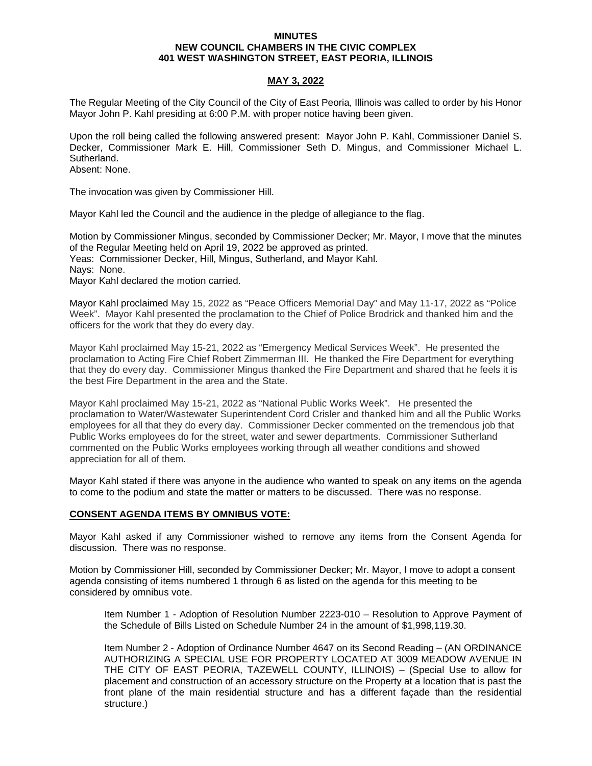#### **MINUTES NEW COUNCIL CHAMBERS IN THE CIVIC COMPLEX 401 WEST WASHINGTON STREET, EAST PEORIA, ILLINOIS**

# **MAY 3, 2022**

The Regular Meeting of the City Council of the City of East Peoria, Illinois was called to order by his Honor Mayor John P. Kahl presiding at 6:00 P.M. with proper notice having been given.

Upon the roll being called the following answered present: Mayor John P. Kahl, Commissioner Daniel S. Decker, Commissioner Mark E. Hill, Commissioner Seth D. Mingus, and Commissioner Michael L. Sutherland.

Absent: None.

The invocation was given by Commissioner Hill.

Mayor Kahl led the Council and the audience in the pledge of allegiance to the flag.

Motion by Commissioner Mingus, seconded by Commissioner Decker; Mr. Mayor, I move that the minutes of the Regular Meeting held on April 19, 2022 be approved as printed. Yeas: Commissioner Decker, Hill, Mingus, Sutherland, and Mayor Kahl. Nays: None. Mayor Kahl declared the motion carried.

Mayor Kahl proclaimed May 15, 2022 as "Peace Officers Memorial Day" and May 11-17, 2022 as "Police Week". Mayor Kahl presented the proclamation to the Chief of Police Brodrick and thanked him and the officers for the work that they do every day.

Mayor Kahl proclaimed May 15-21, 2022 as "Emergency Medical Services Week". He presented the proclamation to Acting Fire Chief Robert Zimmerman III. He thanked the Fire Department for everything that they do every day. Commissioner Mingus thanked the Fire Department and shared that he feels it is the best Fire Department in the area and the State.

Mayor Kahl proclaimed May 15-21, 2022 as "National Public Works Week". He presented the proclamation to Water/Wastewater Superintendent Cord Crisler and thanked him and all the Public Works employees for all that they do every day. Commissioner Decker commented on the tremendous job that Public Works employees do for the street, water and sewer departments. Commissioner Sutherland commented on the Public Works employees working through all weather conditions and showed appreciation for all of them.

Mayor Kahl stated if there was anyone in the audience who wanted to speak on any items on the agenda to come to the podium and state the matter or matters to be discussed. There was no response.

# **CONSENT AGENDA ITEMS BY OMNIBUS VOTE:**

Mayor Kahl asked if any Commissioner wished to remove any items from the Consent Agenda for discussion. There was no response.

Motion by Commissioner Hill, seconded by Commissioner Decker; Mr. Mayor, I move to adopt a consent agenda consisting of items numbered 1 through 6 as listed on the agenda for this meeting to be considered by omnibus vote.

Item Number 1 - Adoption of Resolution Number 2223-010 – Resolution to Approve Payment of the Schedule of Bills Listed on Schedule Number 24 in the amount of \$1,998,119.30.

Item Number 2 - Adoption of Ordinance Number 4647 on its Second Reading – (AN ORDINANCE AUTHORIZING A SPECIAL USE FOR PROPERTY LOCATED AT 3009 MEADOW AVENUE IN THE CITY OF EAST PEORIA, TAZEWELL COUNTY, ILLINOIS) – (Special Use to allow for placement and construction of an accessory structure on the Property at a location that is past the front plane of the main residential structure and has a different façade than the residential structure.)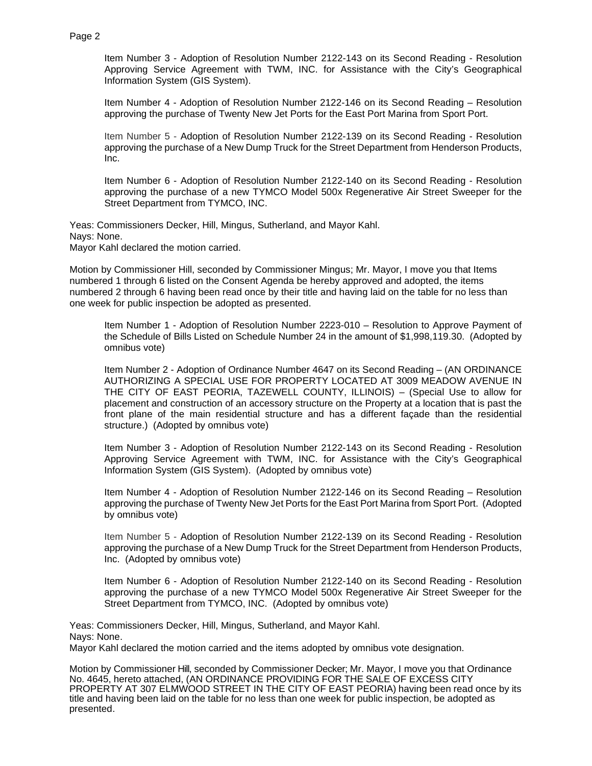Item Number 3 - Adoption of Resolution Number 2122-143 on its Second Reading - Resolution Approving Service Agreement with TWM, INC. for Assistance with the City's Geographical Information System (GIS System).

Item Number 4 - Adoption of Resolution Number 2122-146 on its Second Reading – Resolution approving the purchase of Twenty New Jet Ports for the East Port Marina from Sport Port.

Item Number 5 - Adoption of Resolution Number 2122-139 on its Second Reading - Resolution approving the purchase of a New Dump Truck for the Street Department from Henderson Products, Inc.

Item Number 6 - Adoption of Resolution Number 2122-140 on its Second Reading - Resolution approving the purchase of a new TYMCO Model 500x Regenerative Air Street Sweeper for the Street Department from TYMCO, INC.

Yeas: Commissioners Decker, Hill, Mingus, Sutherland, and Mayor Kahl. Nays: None. Mayor Kahl declared the motion carried.

Motion by Commissioner Hill, seconded by Commissioner Mingus; Mr. Mayor, I move you that Items numbered 1 through 6 listed on the Consent Agenda be hereby approved and adopted, the items numbered 2 through 6 having been read once by their title and having laid on the table for no less than one week for public inspection be adopted as presented.

Item Number 1 - Adoption of Resolution Number 2223-010 – Resolution to Approve Payment of the Schedule of Bills Listed on Schedule Number 24 in the amount of \$1,998,119.30. (Adopted by omnibus vote)

Item Number 2 - Adoption of Ordinance Number 4647 on its Second Reading – (AN ORDINANCE AUTHORIZING A SPECIAL USE FOR PROPERTY LOCATED AT 3009 MEADOW AVENUE IN THE CITY OF EAST PEORIA, TAZEWELL COUNTY, ILLINOIS) – (Special Use to allow for placement and construction of an accessory structure on the Property at a location that is past the front plane of the main residential structure and has a different façade than the residential structure.) (Adopted by omnibus vote)

Item Number 3 - Adoption of Resolution Number 2122-143 on its Second Reading - Resolution Approving Service Agreement with TWM, INC. for Assistance with the City's Geographical Information System (GIS System). (Adopted by omnibus vote)

Item Number 4 - Adoption of Resolution Number 2122-146 on its Second Reading – Resolution approving the purchase of Twenty New Jet Ports for the East Port Marina from Sport Port. (Adopted by omnibus vote)

Item Number 5 - Adoption of Resolution Number 2122-139 on its Second Reading - Resolution approving the purchase of a New Dump Truck for the Street Department from Henderson Products, Inc. (Adopted by omnibus vote)

Item Number 6 - Adoption of Resolution Number 2122-140 on its Second Reading - Resolution approving the purchase of a new TYMCO Model 500x Regenerative Air Street Sweeper for the Street Department from TYMCO, INC. (Adopted by omnibus vote)

Yeas: Commissioners Decker, Hill, Mingus, Sutherland, and Mayor Kahl. Nays: None. Mayor Kahl declared the motion carried and the items adopted by omnibus vote designation.

Motion by Commissioner Hill, seconded by Commissioner Decker; Mr. Mayor, I move you that Ordinance No. 4645, hereto attached, (AN ORDINANCE PROVIDING FOR THE SALE OF EXCESS CITY PROPERTY AT 307 ELMWOOD STREET IN THE CITY OF EAST PEORIA) having been read once by its title and having been laid on the table for no less than one week for public inspection, be adopted as presented.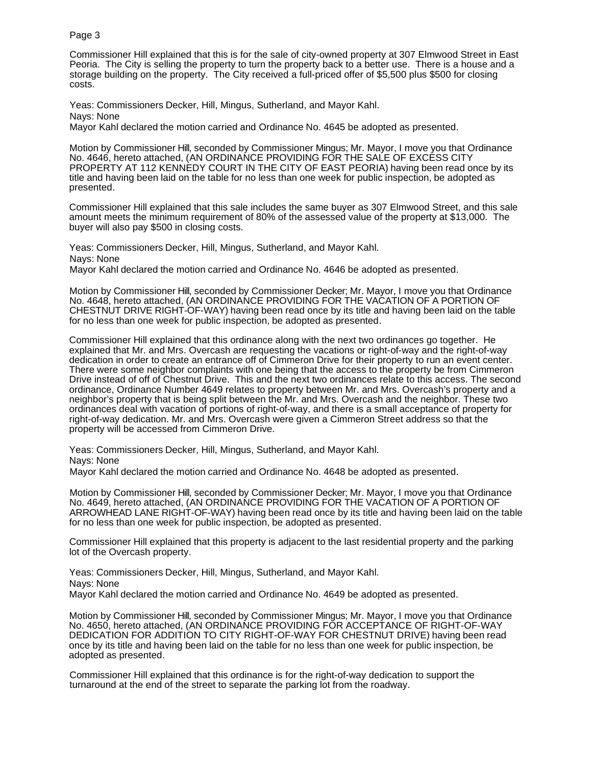Commissioner Hill explained that this is for the sale of city-owned property at 307 Elmwood Street in East Peoria. The City is selling the property to turn the property back to a better use. There is a house and a storage building on the property. The City received a full-priced offer of \$5,500 plus \$500 for closing costs.

Yeas: Commissioners Decker, Hill, Mingus, Sutherland, and Mayor Kahl. Nays: None

Mayor Kahl declared the motion carried and Ordinance No. 4645 be adopted as presented.

Motion by Commissioner Hill, seconded by Commissioner Mingus; Mr. Mayor, I move you that Ordinance No. 4646, hereto attached, (AN ORDINANCE PROVIDING FOR THE SALE OF EXCESS CITY PROPERTY AT 112 KENNEDY COURT IN THE CITY OF EAST PEORIA) having been read once by its title and having been laid on the table for no less than one week for public inspection, be adopted as presented.

Commissioner Hill explained that this sale includes the same buyer as 307 Elmwood Street, and this sale amount meets the minimum requirement of 80% of the assessed value of the property at \$13,000. The buyer will also pay \$500 in closing costs.

Yeas: Commissioners Decker, Hill, Mingus, Sutherland, and Mayor Kahl. Nays: None Mayor Kahl declared the motion carried and Ordinance No. 4646 be adopted as presented.

Motion by Commissioner Hill, seconded by Commissioner Decker; Mr. Mayor, I move you that Ordinance No. 4648, hereto attached, (AN ORDINANCE PROVIDING FOR THE VACATION OF A PORTION OF CHESTNUT DRIVE RIGHT-OF-WAY) having been read once by its title and having been laid on the table for no less than one week for public inspection, be adopted as presented.

Commissioner Hill explained that this ordinance along with the next two ordinances go together. He explained that Mr. and Mrs. Overcash are requesting the vacations or right-of-way and the right-of-way dedication in order to create an entrance off of Cimmeron Drive for their property to run an event center. There were some neighbor complaints with one being that the access to the property be from Cimmeron Drive instead of off of Chestnut Drive. This and the next two ordinances relate to this access. The second ordinance, Ordinance Number 4649 relates to property between Mr. and Mrs. Overcash's property and a neighbor's property that is being split between the Mr. and Mrs. Overcash and the neighbor. These two ordinances deal with vacation of portions of right-of-way, and there is a small acceptance of property for right-of-way dedication. Mr. and Mrs. Overcash were given a Cimmeron Street address so that the property will be accessed from Cimmeron Drive.

Yeas: Commissioners Decker, Hill, Mingus, Sutherland, and Mayor Kahl. Nays: None

Mayor Kahl declared the motion carried and Ordinance No. 4648 be adopted as presented.

Motion by Commissioner Hill, seconded by Commissioner Decker; Mr. Mayor, I move you that Ordinance No. 4649, hereto attached, (AN ORDINANCE PROVIDING FOR THE VACATION OF A PORTION OF ARROWHEAD LANE RIGHT-OF-WAY) having been read once by its title and having been laid on the table for no less than one week for public inspection, be adopted as presented.

Commissioner Hill explained that this property is adjacent to the last residential property and the parking lot of the Overcash property.

Yeas: Commissioners Decker, Hill, Mingus, Sutherland, and Mayor Kahl. Nays: None Mayor Kahl declared the motion carried and Ordinance No. 4649 be adopted as presented.

Motion by Commissioner Hill, seconded by Commissioner Mingus; Mr. Mayor, I move you that Ordinance No. 4650, hereto attached, (AN ORDINANCE PROVIDING FOR ACCEPTANCE OF RIGHT-OF-WAY DEDICATION FOR ADDITION TO CITY RIGHT-OF-WAY FOR CHESTNUT DRIVE) having been read once by its title and having been laid on the table for no less than one week for public inspection, be adopted as presented.

Commissioner Hill explained that this ordinance is for the right-of-way dedication to support the turnaround at the end of the street to separate the parking lot from the roadway.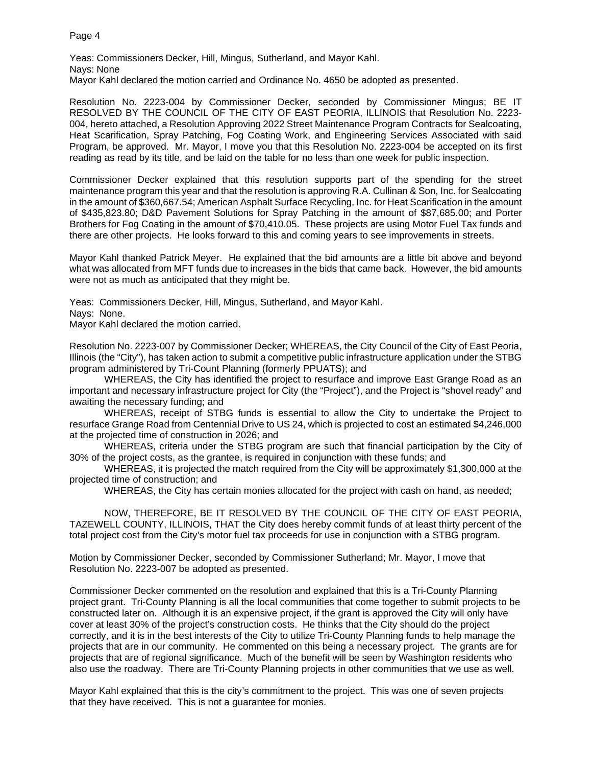Yeas: Commissioners Decker, Hill, Mingus, Sutherland, and Mayor Kahl. Nays: None Mayor Kahl declared the motion carried and Ordinance No. 4650 be adopted as presented.

Resolution No. 2223-004 by Commissioner Decker, seconded by Commissioner Mingus; BE IT RESOLVED BY THE COUNCIL OF THE CITY OF EAST PEORIA, ILLINOIS that Resolution No. 2223- 004, hereto attached, a Resolution Approving 2022 Street Maintenance Program Contracts for Sealcoating, Heat Scarification, Spray Patching, Fog Coating Work, and Engineering Services Associated with said Program, be approved. Mr. Mayor, I move you that this Resolution No. 2223-004 be accepted on its first reading as read by its title, and be laid on the table for no less than one week for public inspection.

Commissioner Decker explained that this resolution supports part of the spending for the street maintenance program this year and that the resolution is approving R.A. Cullinan & Son, Inc. for Sealcoating in the amount of \$360,667.54; American Asphalt Surface Recycling, Inc. for Heat Scarification in the amount of \$435,823.80; D&D Pavement Solutions for Spray Patching in the amount of \$87,685.00; and Porter Brothers for Fog Coating in the amount of \$70,410.05. These projects are using Motor Fuel Tax funds and there are other projects. He looks forward to this and coming years to see improvements in streets.

Mayor Kahl thanked Patrick Meyer. He explained that the bid amounts are a little bit above and beyond what was allocated from MFT funds due to increases in the bids that came back. However, the bid amounts were not as much as anticipated that they might be.

Yeas: Commissioners Decker, Hill, Mingus, Sutherland, and Mayor Kahl.

Nays: None.

Mayor Kahl declared the motion carried.

Resolution No. 2223-007 by Commissioner Decker; WHEREAS, the City Council of the City of East Peoria, Illinois (the "City"), has taken action to submit a competitive public infrastructure application under the STBG program administered by Tri-Count Planning (formerly PPUATS); and

WHEREAS, the City has identified the project to resurface and improve East Grange Road as an important and necessary infrastructure project for City (the "Project"), and the Project is "shovel ready" and awaiting the necessary funding; and

WHEREAS, receipt of STBG funds is essential to allow the City to undertake the Project to resurface Grange Road from Centennial Drive to US 24, which is projected to cost an estimated \$4,246,000 at the projected time of construction in 2026; and

WHEREAS, criteria under the STBG program are such that financial participation by the City of 30% of the project costs, as the grantee, is required in conjunction with these funds; and

WHEREAS, it is projected the match required from the City will be approximately \$1,300,000 at the projected time of construction; and

WHEREAS, the City has certain monies allocated for the project with cash on hand, as needed;

NOW, THEREFORE, BE IT RESOLVED BY THE COUNCIL OF THE CITY OF EAST PEORIA, TAZEWELL COUNTY, ILLINOIS, THAT the City does hereby commit funds of at least thirty percent of the total project cost from the City's motor fuel tax proceeds for use in conjunction with a STBG program.

Motion by Commissioner Decker, seconded by Commissioner Sutherland; Mr. Mayor, I move that Resolution No. 2223-007 be adopted as presented.

Commissioner Decker commented on the resolution and explained that this is a Tri-County Planning project grant. Tri-County Planning is all the local communities that come together to submit projects to be constructed later on. Although it is an expensive project, if the grant is approved the City will only have cover at least 30% of the project's construction costs. He thinks that the City should do the project correctly, and it is in the best interests of the City to utilize Tri-County Planning funds to help manage the projects that are in our community. He commented on this being a necessary project. The grants are for projects that are of regional significance. Much of the benefit will be seen by Washington residents who also use the roadway. There are Tri-County Planning projects in other communities that we use as well.

Mayor Kahl explained that this is the city's commitment to the project. This was one of seven projects that they have received. This is not a guarantee for monies.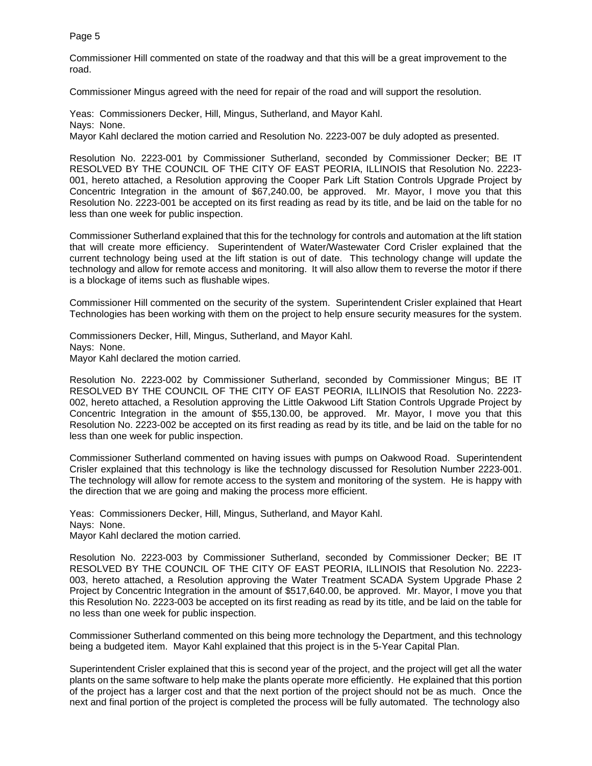Commissioner Hill commented on state of the roadway and that this will be a great improvement to the road.

Commissioner Mingus agreed with the need for repair of the road and will support the resolution.

Yeas: Commissioners Decker, Hill, Mingus, Sutherland, and Mayor Kahl. Nays: None. Mayor Kahl declared the motion carried and Resolution No. 2223-007 be duly adopted as presented.

Resolution No. 2223-001 by Commissioner Sutherland, seconded by Commissioner Decker; BE IT RESOLVED BY THE COUNCIL OF THE CITY OF EAST PEORIA, ILLINOIS that Resolution No. 2223- 001, hereto attached, a Resolution approving the Cooper Park Lift Station Controls Upgrade Project by Concentric Integration in the amount of \$67,240.00, be approved. Mr. Mayor, I move you that this Resolution No. 2223-001 be accepted on its first reading as read by its title, and be laid on the table for no less than one week for public inspection.

Commissioner Sutherland explained that this for the technology for controls and automation at the lift station that will create more efficiency. Superintendent of Water/Wastewater Cord Crisler explained that the current technology being used at the lift station is out of date. This technology change will update the technology and allow for remote access and monitoring. It will also allow them to reverse the motor if there is a blockage of items such as flushable wipes.

Commissioner Hill commented on the security of the system. Superintendent Crisler explained that Heart Technologies has been working with them on the project to help ensure security measures for the system.

Commissioners Decker, Hill, Mingus, Sutherland, and Mayor Kahl. Nays: None. Mayor Kahl declared the motion carried.

Resolution No. 2223-002 by Commissioner Sutherland, seconded by Commissioner Mingus; BE IT RESOLVED BY THE COUNCIL OF THE CITY OF EAST PEORIA, ILLINOIS that Resolution No. 2223- 002, hereto attached, a Resolution approving the Little Oakwood Lift Station Controls Upgrade Project by Concentric Integration in the amount of \$55,130.00, be approved. Mr. Mayor, I move you that this Resolution No. 2223-002 be accepted on its first reading as read by its title, and be laid on the table for no less than one week for public inspection.

Commissioner Sutherland commented on having issues with pumps on Oakwood Road. Superintendent Crisler explained that this technology is like the technology discussed for Resolution Number 2223-001. The technology will allow for remote access to the system and monitoring of the system. He is happy with the direction that we are going and making the process more efficient.

Yeas: Commissioners Decker, Hill, Mingus, Sutherland, and Mayor Kahl. Nays: None. Mayor Kahl declared the motion carried.

Resolution No. 2223-003 by Commissioner Sutherland, seconded by Commissioner Decker; BE IT RESOLVED BY THE COUNCIL OF THE CITY OF EAST PEORIA, ILLINOIS that Resolution No. 2223- 003, hereto attached, a Resolution approving the Water Treatment SCADA System Upgrade Phase 2 Project by Concentric Integration in the amount of \$517,640.00, be approved. Mr. Mayor, I move you that this Resolution No. 2223-003 be accepted on its first reading as read by its title, and be laid on the table for no less than one week for public inspection.

Commissioner Sutherland commented on this being more technology the Department, and this technology being a budgeted item. Mayor Kahl explained that this project is in the 5-Year Capital Plan.

Superintendent Crisler explained that this is second year of the project, and the project will get all the water plants on the same software to help make the plants operate more efficiently. He explained that this portion of the project has a larger cost and that the next portion of the project should not be as much. Once the next and final portion of the project is completed the process will be fully automated. The technology also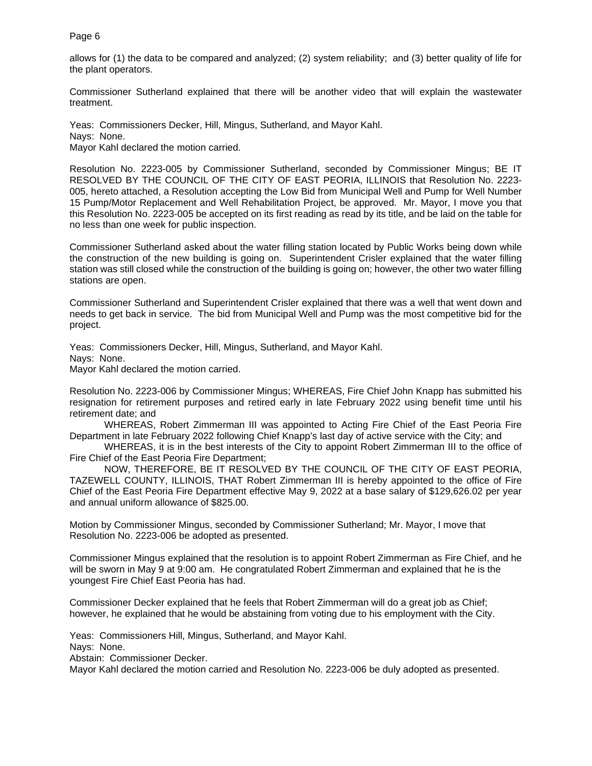allows for (1) the data to be compared and analyzed; (2) system reliability; and (3) better quality of life for the plant operators.

Commissioner Sutherland explained that there will be another video that will explain the wastewater treatment.

Yeas: Commissioners Decker, Hill, Mingus, Sutherland, and Mayor Kahl. Nays: None. Mayor Kahl declared the motion carried.

Resolution No. 2223-005 by Commissioner Sutherland, seconded by Commissioner Mingus; BE IT RESOLVED BY THE COUNCIL OF THE CITY OF EAST PEORIA, ILLINOIS that Resolution No. 2223- 005, hereto attached, a Resolution accepting the Low Bid from Municipal Well and Pump for Well Number 15 Pump/Motor Replacement and Well Rehabilitation Project, be approved. Mr. Mayor, I move you that this Resolution No. 2223-005 be accepted on its first reading as read by its title, and be laid on the table for no less than one week for public inspection.

Commissioner Sutherland asked about the water filling station located by Public Works being down while the construction of the new building is going on. Superintendent Crisler explained that the water filling station was still closed while the construction of the building is going on; however, the other two water filling stations are open.

Commissioner Sutherland and Superintendent Crisler explained that there was a well that went down and needs to get back in service. The bid from Municipal Well and Pump was the most competitive bid for the project.

Yeas: Commissioners Decker, Hill, Mingus, Sutherland, and Mayor Kahl.

Nays: None.

Mayor Kahl declared the motion carried.

Resolution No. 2223-006 by Commissioner Mingus; WHEREAS, Fire Chief John Knapp has submitted his resignation for retirement purposes and retired early in late February 2022 using benefit time until his retirement date; and

WHEREAS, Robert Zimmerman III was appointed to Acting Fire Chief of the East Peoria Fire Department in late February 2022 following Chief Knapp's last day of active service with the City; and

WHEREAS, it is in the best interests of the City to appoint Robert Zimmerman III to the office of Fire Chief of the East Peoria Fire Department;

NOW, THEREFORE, BE IT RESOLVED BY THE COUNCIL OF THE CITY OF EAST PEORIA, TAZEWELL COUNTY, ILLINOIS, THAT Robert Zimmerman III is hereby appointed to the office of Fire Chief of the East Peoria Fire Department effective May 9, 2022 at a base salary of \$129,626.02 per year and annual uniform allowance of \$825.00.

Motion by Commissioner Mingus, seconded by Commissioner Sutherland; Mr. Mayor, I move that Resolution No. 2223-006 be adopted as presented.

Commissioner Mingus explained that the resolution is to appoint Robert Zimmerman as Fire Chief, and he will be sworn in May 9 at 9:00 am. He congratulated Robert Zimmerman and explained that he is the youngest Fire Chief East Peoria has had.

Commissioner Decker explained that he feels that Robert Zimmerman will do a great job as Chief; however, he explained that he would be abstaining from voting due to his employment with the City.

Yeas: Commissioners Hill, Mingus, Sutherland, and Mayor Kahl.

Nays: None.

Abstain: Commissioner Decker.

Mayor Kahl declared the motion carried and Resolution No. 2223-006 be duly adopted as presented.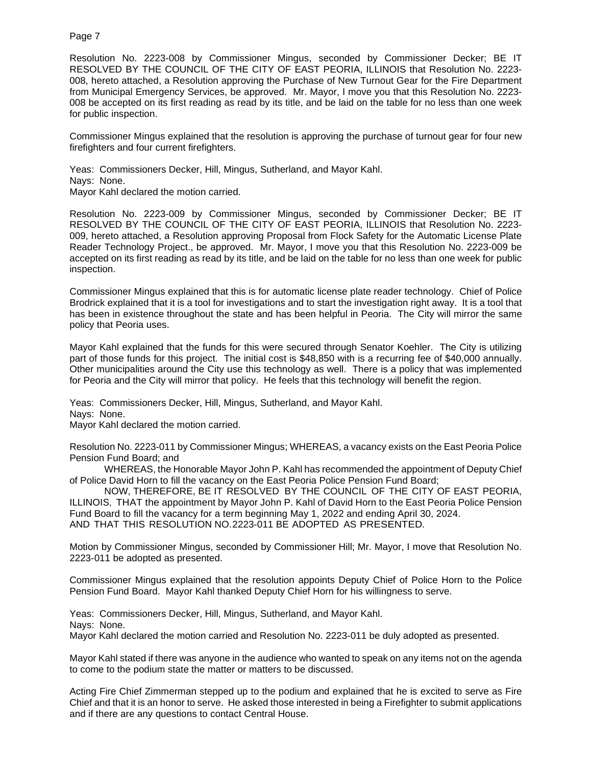Resolution No. 2223-008 by Commissioner Mingus, seconded by Commissioner Decker; BE IT RESOLVED BY THE COUNCIL OF THE CITY OF EAST PEORIA, ILLINOIS that Resolution No. 2223- 008, hereto attached, a Resolution approving the Purchase of New Turnout Gear for the Fire Department from Municipal Emergency Services, be approved. Mr. Mayor, I move you that this Resolution No. 2223- 008 be accepted on its first reading as read by its title, and be laid on the table for no less than one week for public inspection.

Commissioner Mingus explained that the resolution is approving the purchase of turnout gear for four new firefighters and four current firefighters.

Yeas: Commissioners Decker, Hill, Mingus, Sutherland, and Mayor Kahl. Nays: None. Mayor Kahl declared the motion carried.

Resolution No. 2223-009 by Commissioner Mingus, seconded by Commissioner Decker; BE IT RESOLVED BY THE COUNCIL OF THE CITY OF EAST PEORIA, ILLINOIS that Resolution No. 2223- 009, hereto attached, a Resolution approving Proposal from Flock Safety for the Automatic License Plate Reader Technology Project., be approved. Mr. Mayor, I move you that this Resolution No. 2223-009 be accepted on its first reading as read by its title, and be laid on the table for no less than one week for public inspection.

Commissioner Mingus explained that this is for automatic license plate reader technology. Chief of Police Brodrick explained that it is a tool for investigations and to start the investigation right away. It is a tool that has been in existence throughout the state and has been helpful in Peoria. The City will mirror the same policy that Peoria uses.

Mayor Kahl explained that the funds for this were secured through Senator Koehler. The City is utilizing part of those funds for this project. The initial cost is \$48,850 with is a recurring fee of \$40,000 annually. Other municipalities around the City use this technology as well. There is a policy that was implemented for Peoria and the City will mirror that policy. He feels that this technology will benefit the region.

Yeas: Commissioners Decker, Hill, Mingus, Sutherland, and Mayor Kahl. Nays: None.

Mayor Kahl declared the motion carried.

Resolution No. 2223-011 by Commissioner Mingus; WHEREAS, a vacancy exists on the East Peoria Police Pension Fund Board; and

WHEREAS, the Honorable Mayor John P. Kahl has recommended the appointment of Deputy Chief of Police David Horn to fill the vacancy on the East Peoria Police Pension Fund Board;

NOW, THEREFORE, BE IT RESOLVED BY THE COUNCIL OF THE CITY OF EAST PEORIA, ILLINOIS, THAT the appointment by Mayor John P. Kahl of David Horn to the East Peoria Police Pension Fund Board to fill the vacancy for a term beginning May 1, 2022 and ending April 30, 2024. AND THAT THIS RESOLUTION NO. 2223-011 BE ADOPTED AS PRESENTED.

Motion by Commissioner Mingus, seconded by Commissioner Hill; Mr. Mayor, I move that Resolution No. 2223-011 be adopted as presented.

Commissioner Mingus explained that the resolution appoints Deputy Chief of Police Horn to the Police Pension Fund Board. Mayor Kahl thanked Deputy Chief Horn for his willingness to serve.

Yeas: Commissioners Decker, Hill, Mingus, Sutherland, and Mayor Kahl. Nays: None.

Mayor Kahl declared the motion carried and Resolution No. 2223-011 be duly adopted as presented.

Mayor Kahl stated if there was anyone in the audience who wanted to speak on any items not on the agenda to come to the podium state the matter or matters to be discussed.

Acting Fire Chief Zimmerman stepped up to the podium and explained that he is excited to serve as Fire Chief and that it is an honor to serve. He asked those interested in being a Firefighter to submit applications and if there are any questions to contact Central House.